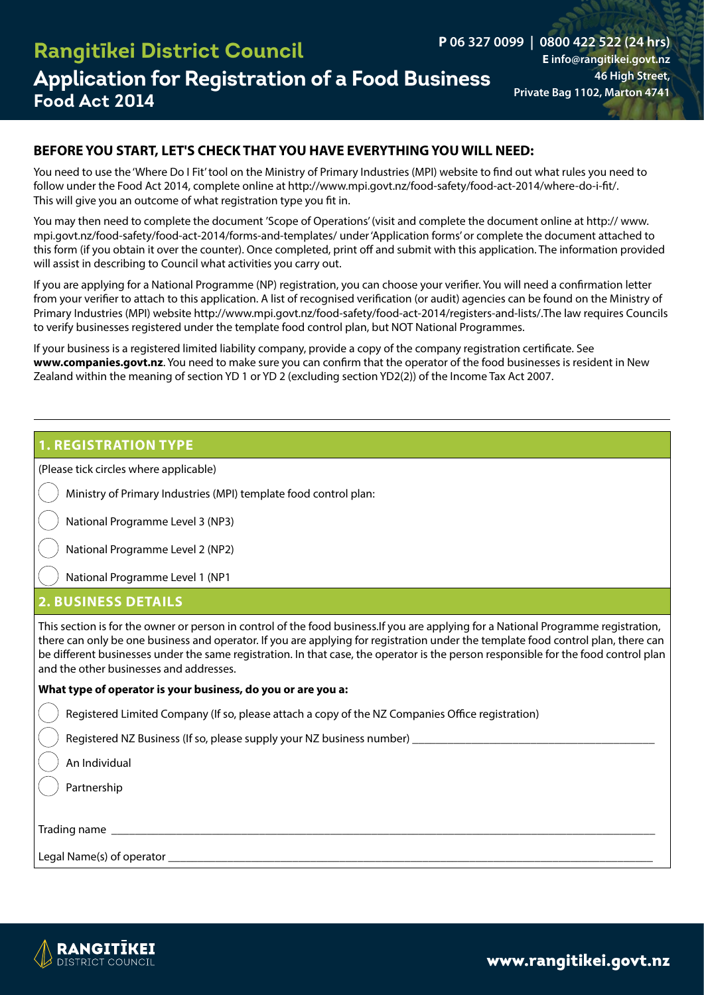## **Application for Registration of a Food Business** 46 High Street, **Food Act 2014 Rangitīkei District Council**

**P 06 327 0099 | 0800 422 522 (24 hrs) E info@rangitikei.govt.nz 46 High Street,** 

### **BEFORE YOU START, LET'S CHECK THAT YOU HAVE EVERYTHING YOU WILL NEED:**

You need to use the 'Where Do I Fit' tool on the Ministry of Primary Industries (MPI) website to find out what rules you need to follow under the Food Act 2014, complete online at http://www.mpi.govt.nz/food-safety/food-act-2014/where-do-i-fit/. This will give you an outcome of what registration type you fit in.

You may then need to complete the document 'Scope of Operations' (visit and complete the document online at http:// www. mpi.govt.nz/food-safety/food-act-2014/forms-and-templates/ under 'Application forms' or complete the document attached to this form (if you obtain it over the counter). Once completed, print off and submit with this application. The information provided will assist in describing to Council what activities you carry out.

If you are applying for a National Programme (NP) registration, you can choose your verifier. You will need a confirmation letter from your verifier to attach to this application. A list of recognised verification (or audit) agencies can be found on the Ministry of Primary Industries (MPI) website http://www.mpi.govt.nz/food-safety/food-act-2014/registers-and-lists/.The law requires Councils to verify businesses registered under the template food control plan, but NOT National Programmes.

If your business is a registered limited liability company, provide a copy of the company registration certificate. See **www.companies.govt.nz**. You need to make sure you can confirm that the operator of the food businesses is resident in New Zealand within the meaning of section YD 1 or YD 2 (excluding section YD2(2)) of the Income Tax Act 2007.

### **1. REGISTRATION TYPE**

(Please tick circles where applicable)

Ministry of Primary Industries (MPI) template food control plan:

National Programme Level 3 (NP3)

National Programme Level 2 (NP2)

National Programme Level 1 (NP1

#### **2. BUSINESS DETAILS**

This section is for the owner or person in control of the food business.If you are applying for a National Programme registration, there can only be one business and operator. If you are applying for registration under the template food control plan, there can be different businesses under the same registration. In that case, the operator is the person responsible for the food control plan and the other businesses and addresses.

#### **What type of operator is your business, do you or are you a:**

Registered Limited Company (If so, please attach a copy of the NZ Companies Office registration)

Registered NZ Business (If so, please supply your NZ business number) \_\_\_\_\_\_\_\_\_\_

An Individual

Partnership

Trading name **we are all that the set of the set of the set of the set of the set of the set of the set of the set of the set of the set of the set of the set of the set of the set of the set of the set of the set of the s** 

Legal Name(s) of operator \_\_\_\_\_\_\_\_\_\_\_\_\_\_\_\_\_\_\_\_\_\_\_\_\_\_\_\_\_\_\_\_\_\_\_\_\_\_\_\_\_\_\_\_\_\_\_\_\_\_\_\_\_\_\_\_\_\_\_\_\_\_\_\_\_\_\_\_\_\_\_\_\_\_\_\_\_\_\_\_\_\_



[www.rangitikei.govt.nz](http://www.rangitikei.govt.nz)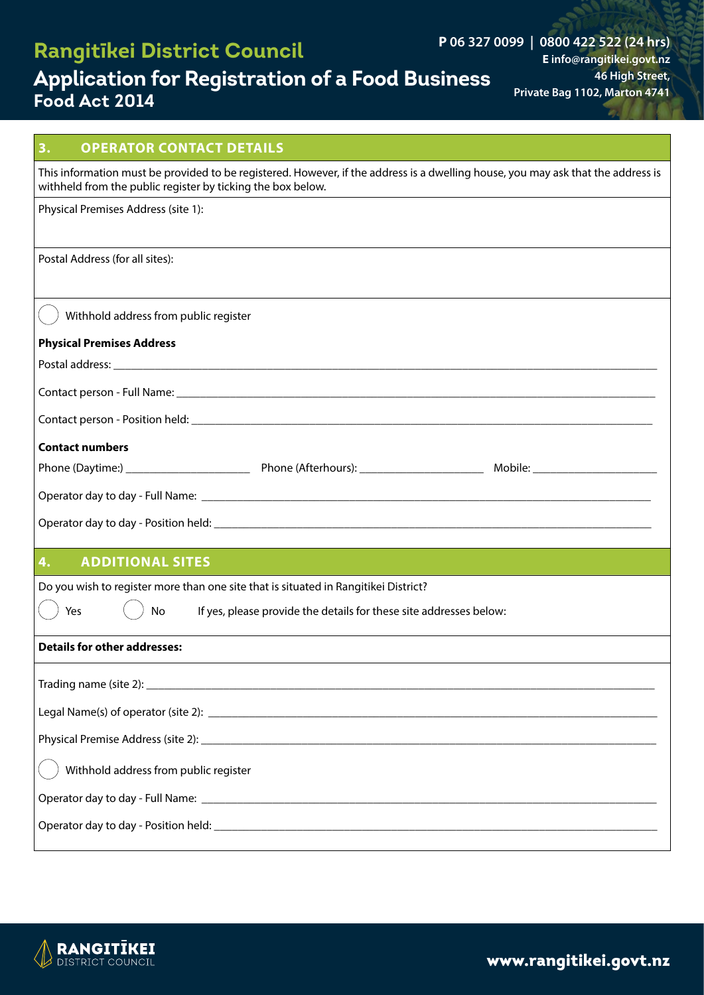# **Application for Registration of a Food Business Food Act 2014**

**P 06 327 0099 | 0800 422 522 (24 hrs) E info@rangitikei.govt.nz 46 High Street, Private Bag 1102, Marton 4741**

| 3.<br><b>OPERATOR CONTACT DETAILS</b>                                                                                                                                                           |
|-------------------------------------------------------------------------------------------------------------------------------------------------------------------------------------------------|
| This information must be provided to be registered. However, if the address is a dwelling house, you may ask that the address is<br>withheld from the public register by ticking the box below. |
| Physical Premises Address (site 1):                                                                                                                                                             |
| Postal Address (for all sites):                                                                                                                                                                 |
| Withhold address from public register                                                                                                                                                           |
| <b>Physical Premises Address</b>                                                                                                                                                                |
|                                                                                                                                                                                                 |
|                                                                                                                                                                                                 |
|                                                                                                                                                                                                 |
| <b>Contact numbers</b>                                                                                                                                                                          |
|                                                                                                                                                                                                 |
|                                                                                                                                                                                                 |
|                                                                                                                                                                                                 |
| <b>ADDITIONAL SITES</b><br>4.                                                                                                                                                                   |
| Do you wish to register more than one site that is situated in Rangitikei District?                                                                                                             |
| Yes<br>If yes, please provide the details for these site addresses below:<br><b>No</b>                                                                                                          |
| <b>Details for other addresses:</b>                                                                                                                                                             |
|                                                                                                                                                                                                 |
|                                                                                                                                                                                                 |
|                                                                                                                                                                                                 |
| Withhold address from public register                                                                                                                                                           |
|                                                                                                                                                                                                 |
|                                                                                                                                                                                                 |



[www.rangitikei.govt.nz](http://www.rangitikei.govt.nz)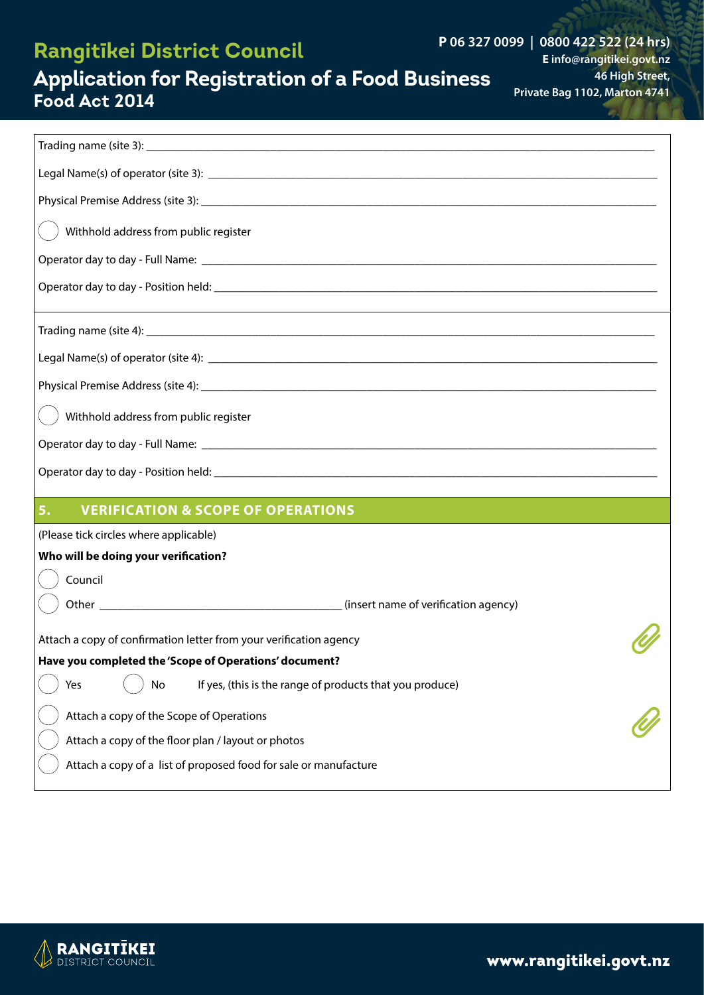### **P 06 327 0099 | 0800 422 522 (24 hrs)**

**E info@rangitikei.govt.nz 46 High Street, Private Bag 1102, Marton 4741**

### **Application for Registration of a Food Business Food Act 2014**

| Withhold address from public register                                 |
|-----------------------------------------------------------------------|
|                                                                       |
|                                                                       |
|                                                                       |
|                                                                       |
|                                                                       |
| Withhold address from public register                                 |
|                                                                       |
|                                                                       |
| <b>VERIFICATION &amp; SCOPE OF OPERATIONS</b><br>5.                   |
| (Please tick circles where applicable)                                |
| Who will be doing your verification?                                  |
| Council                                                               |
|                                                                       |
| Attach a copy of confirmation letter from your verification agency    |
| Have you completed the 'Scope of Operations' document?                |
| If yes, (this is the range of products that you produce)<br>Yes<br>No |
| Attach a copy of the Scope of Operations                              |
| Attach a copy of the floor plan / layout or photos                    |
| Attach a copy of a list of proposed food for sale or manufacture      |

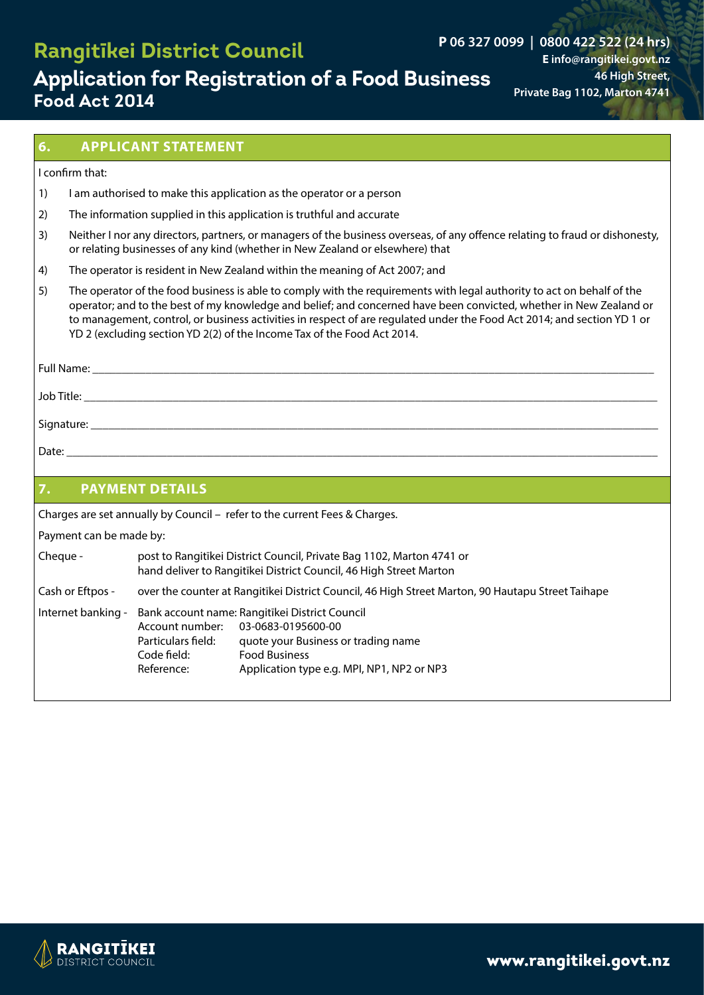### **P 06 327 0099 | 0800 422 522 (24 hrs)**

# **Application for Registration of a Food Business Food Act 2014**

**E info@rangitikei.govt.nz 46 High Street, Private Bag 1102, Marton 4741**

#### **6. APPLICANT STATEMENT**

#### I confirm that:

- 1) I am authorised to make this application as the operator or a person
- 2) The information supplied in this application is truthful and accurate
- 3) Neither I nor any directors, partners, or managers of the business overseas, of any offence relating to fraud or dishonesty, or relating businesses of any kind (whether in New Zealand or elsewhere) that
- 4) The operator is resident in New Zealand within the meaning of Act 2007; and
- 5) The operator of the food business is able to comply with the requirements with legal authority to act on behalf of the operator; and to the best of my knowledge and belief; and concerned have been convicted, whether in New Zealand or to management, control, or business activities in respect of are regulated under the Food Act 2014; and section YD 1 or YD 2 (excluding section YD 2(2) of the Income Tax of the Food Act 2014.

| Full Name: |  |
|------------|--|
| Job Title: |  |
| Signature: |  |

Date: \_\_\_\_\_\_\_\_\_\_\_\_\_\_\_\_\_\_\_\_\_\_\_\_\_\_\_\_\_\_\_\_\_\_\_\_\_\_\_\_\_\_\_\_\_\_\_\_\_\_\_\_\_\_\_\_\_\_\_\_\_\_\_\_\_\_\_\_\_\_\_\_\_\_\_\_\_\_\_\_\_\_\_\_\_\_\_\_\_\_\_\_\_\_\_\_\_\_\_\_

| 7.                      | <b>PAYMENT DETAILS</b>                                                                                                                      |                                                                                                                                                                                   |  |  |
|-------------------------|---------------------------------------------------------------------------------------------------------------------------------------------|-----------------------------------------------------------------------------------------------------------------------------------------------------------------------------------|--|--|
|                         |                                                                                                                                             |                                                                                                                                                                                   |  |  |
|                         |                                                                                                                                             | Charges are set annually by Council – refer to the current Fees & Charges.                                                                                                        |  |  |
| Payment can be made by: |                                                                                                                                             |                                                                                                                                                                                   |  |  |
| Cheque -                | post to Rangitikei District Council, Private Bag 1102, Marton 4741 or<br>hand deliver to Rangitikei District Council, 46 High Street Marton |                                                                                                                                                                                   |  |  |
| Cash or Eftpos -        |                                                                                                                                             | over the counter at Rangitikei District Council, 46 High Street Marton, 90 Hautapu Street Taihape                                                                                 |  |  |
| Internet banking -      | Account number:<br>Particulars field:<br>Code field:<br>Reference:                                                                          | Bank account name: Rangitīkei District Council<br>03-0683-0195600-00<br>quote your Business or trading name<br><b>Food Business</b><br>Application type e.g. MPI, NP1, NP2 or NP3 |  |  |

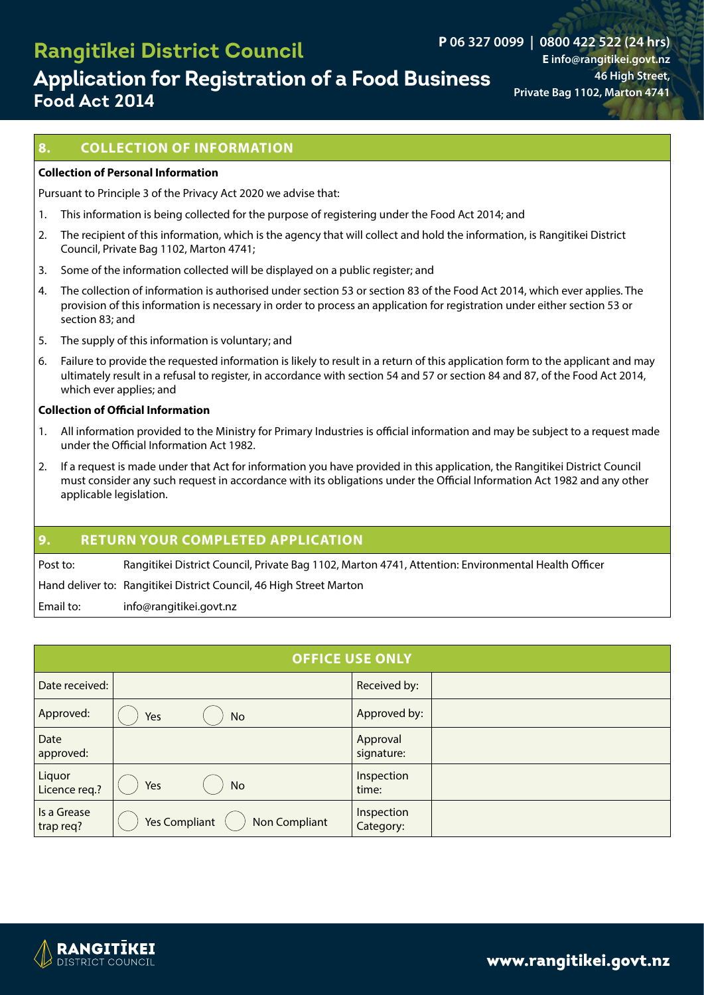# **Application for Registration of a Food Business Food Act 2014**

**P 06 327 0099 | 0800 422 522 (24 hrs) E info@rangitikei.govt.nz 46 High Street, Private Bag 1102, Marton 4741**

### **8. COLLECTION OF INFORMATION**

#### **Collection of Personal Information**

Pursuant to Principle 3 of the Privacy Act 2020 we advise that:

- 1. This information is being collected for the purpose of registering under the Food Act 2014; and
- 2. The recipient of this information, which is the agency that will collect and hold the information, is Rangitikei District Council, Private Bag 1102, Marton 4741;
- 3. Some of the information collected will be displayed on a public register; and
- 4. The collection of information is authorised under section 53 or section 83 of the Food Act 2014, which ever applies. The provision of this information is necessary in order to process an application for registration under either section 53 or section 83; and
- 5. The supply of this information is voluntary; and
- 6. Failure to provide the requested information is likely to result in a return of this application form to the applicant and may ultimately result in a refusal to register, in accordance with section 54 and 57 or section 84 and 87, of the Food Act 2014, which ever applies; and

#### **Collection of Official Information**

- 1. All information provided to the Ministry for Primary Industries is official information and may be subject to a request made under the Official Information Act 1982.
- 2. If a request is made under that Act for information you have provided in this application, the Rangitikei District Council must consider any such request in accordance with its obligations under the Official Information Act 1982 and any other applicable legislation.

#### **9. RETURN YOUR COMPLETED APPLICATION**

Post to: Rangitikei District Council, Private Bag 1102, Marton 4741, Attention: Environmental Health Officer

Hand deliver to: Rangitikei District Council, 46 High Street Marton

Email to: info@rangitikei.govt.nz

|                          | <b>OFFICE USE ONLY</b>                |                         |  |  |
|--------------------------|---------------------------------------|-------------------------|--|--|
| Date received:           |                                       | Received by:            |  |  |
| Approved:                | Yes<br>No                             | Approved by:            |  |  |
| Date<br>approved:        |                                       | Approval<br>signature:  |  |  |
| Liquor<br>Licence req.?  | Yes<br><b>No</b>                      | Inspection<br>time:     |  |  |
| Is a Grease<br>trap req? | <b>Yes Compliant</b><br>Non Compliant | Inspection<br>Category: |  |  |

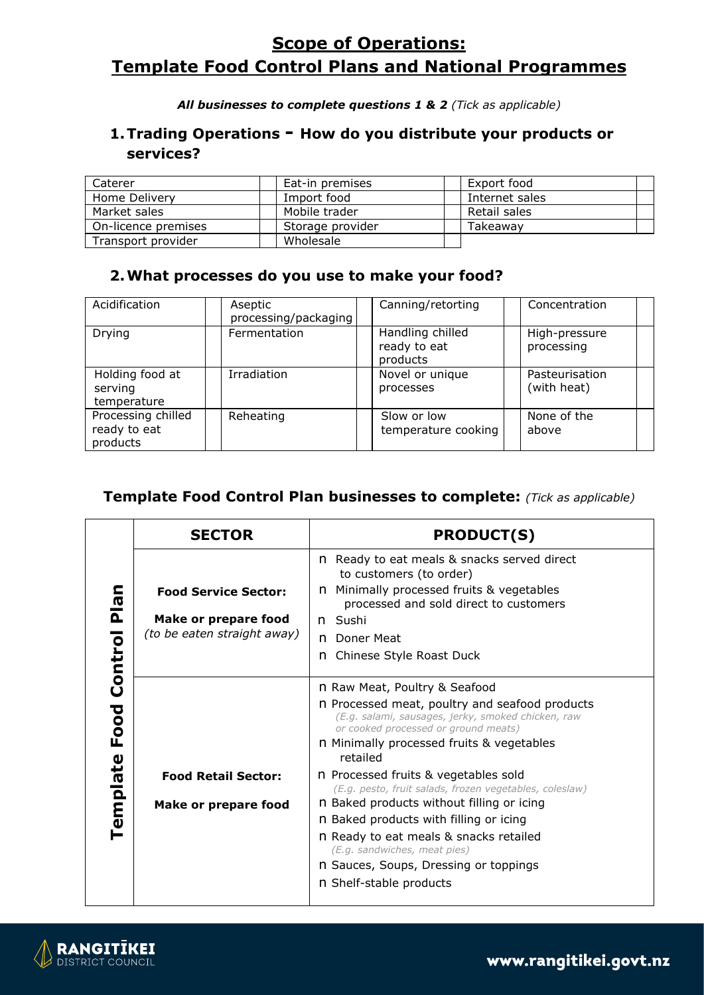### **P**  $\overline{S}$  **cope of Operations: E info@rangitikei.govt.nz 46 High Street, Template Food Control Plans and National Programmes**

*All businesses to complete questions 1 & 2 (Tick as applicable)*

### **1.Trading Operations - How do you distribute your products or services?**

| Caterer                                             | Eat-in premises | Export food    |
|-----------------------------------------------------|-----------------|----------------|
| Home Delivery                                       | Import food     | Internet sales |
| Market sales                                        | Mobile trader   | Retail sales   |
| On-licence premises<br>Storage provider<br>Takeawav |                 |                |
| Transport provider                                  | Wholesale       |                |

### **2.What processes do you use to make your food?**

| Acidification                                  | Aseptic<br>processing/packaging | Canning/retorting                            | Concentration                 |
|------------------------------------------------|---------------------------------|----------------------------------------------|-------------------------------|
| Drying                                         | Fermentation                    | Handling chilled<br>ready to eat<br>products | High-pressure<br>processing   |
| Holding food at<br>serving<br>temperature      | Irradiation                     | Novel or unique<br>processes                 | Pasteurisation<br>(with heat) |
| Processing chilled<br>ready to eat<br>products | Reheating                       | Slow or low<br>temperature cooking           | None of the<br>above          |

### **Template Food Control Plan businesses to complete:** *(Tick as applicable)*

|                                                                    | <b>SECTOR</b>                                                                      | <b>PRODUCT(S)</b>                                                                                                                                                                                                                      |
|--------------------------------------------------------------------|------------------------------------------------------------------------------------|----------------------------------------------------------------------------------------------------------------------------------------------------------------------------------------------------------------------------------------|
| c<br>$\overline{\mathbf{c}}$<br>$\overline{\mathbf{a}}$<br>Control | <b>Food Service Sector:</b><br>Make or prepare food<br>(to be eaten straight away) | Ready to eat meals & snacks served direct<br>n.<br>to customers (to order)<br>Minimally processed fruits & vegetables<br>n.<br>processed and sold direct to customers<br>n Sushi<br>Doner Meat<br>n.<br>Chinese Style Roast Duck<br>n. |
| Food                                                               |                                                                                    | n Raw Meat, Poultry & Seafood<br>n Processed meat, poultry and seafood products<br>(E.g. salami, sausages, jerky, smoked chicken, raw<br>or cooked processed or ground meats)<br>n Minimally processed fruits & vegetables<br>retailed |
|                                                                    | <b>Food Retail Sector:</b>                                                         | n Processed fruits & vegetables sold<br>(E.g. pesto, fruit salads, frozen vegetables, coleslaw)                                                                                                                                        |
| Template                                                           | <b>Make or prepare food</b>                                                        | n Baked products without filling or icing<br>n Baked products with filling or icing<br>n Ready to eat meals & snacks retailed<br>(E.g. sandwiches, meat pies)<br>n Sauces, Soups, Dressing or toppings<br>n Shelf-stable products      |

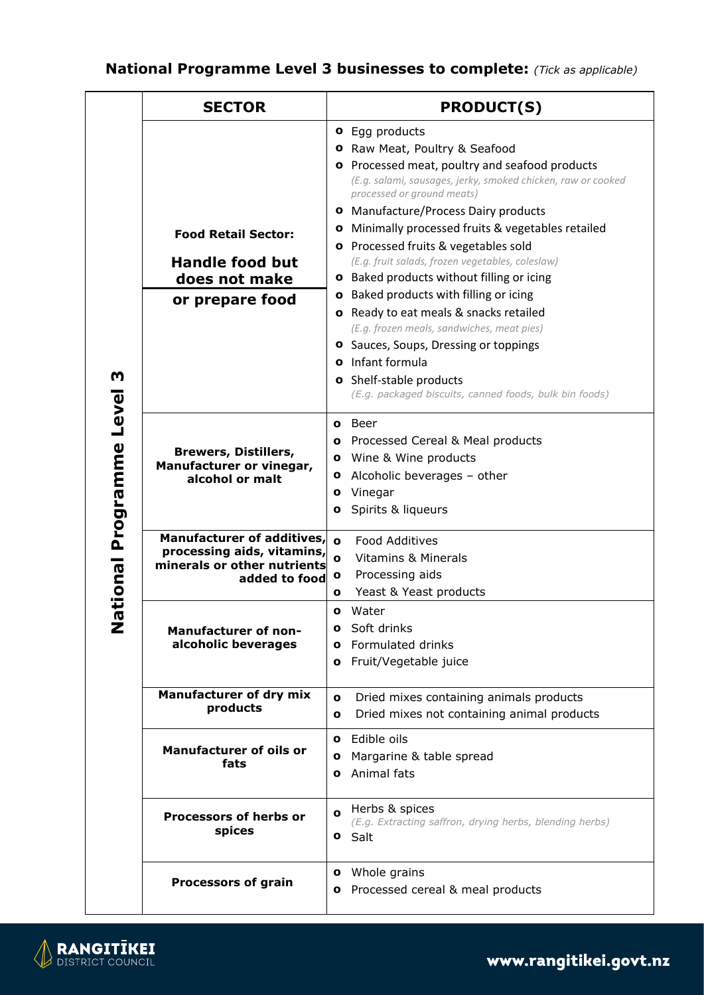### **46 High Street, National Programme Level 3 businesses to complete:** *(Tick as applicable)*

| <b>o</b> Egg products<br><b>o</b> Raw Meat, Poultry & Seafood<br><b>o</b> Processed meat, poultry and seafood products<br>(E.g. salami, sausages, jerky, smoked chicken, raw or cooked<br>processed or ground meats)<br><b>o</b> Manufacture/Process Dairy products<br><b>o</b> Minimally processed fruits & vegetables retailed<br><b>Food Retail Sector:</b><br><b>o</b> Processed fruits & vegetables sold<br>(E.g. fruit salads, frozen vegetables, coleslaw)<br><b>Handle food but</b><br><b>o</b> Baked products without filling or icing<br>does not make<br><b>o</b> Baked products with filling or icing<br>or prepare food<br>o Ready to eat meals & snacks retailed<br>(E.g. frozen meals, sandwiches, meat pies) |  |
|------------------------------------------------------------------------------------------------------------------------------------------------------------------------------------------------------------------------------------------------------------------------------------------------------------------------------------------------------------------------------------------------------------------------------------------------------------------------------------------------------------------------------------------------------------------------------------------------------------------------------------------------------------------------------------------------------------------------------|--|
|                                                                                                                                                                                                                                                                                                                                                                                                                                                                                                                                                                                                                                                                                                                              |  |
|                                                                                                                                                                                                                                                                                                                                                                                                                                                                                                                                                                                                                                                                                                                              |  |
|                                                                                                                                                                                                                                                                                                                                                                                                                                                                                                                                                                                                                                                                                                                              |  |
|                                                                                                                                                                                                                                                                                                                                                                                                                                                                                                                                                                                                                                                                                                                              |  |
|                                                                                                                                                                                                                                                                                                                                                                                                                                                                                                                                                                                                                                                                                                                              |  |
|                                                                                                                                                                                                                                                                                                                                                                                                                                                                                                                                                                                                                                                                                                                              |  |
|                                                                                                                                                                                                                                                                                                                                                                                                                                                                                                                                                                                                                                                                                                                              |  |
|                                                                                                                                                                                                                                                                                                                                                                                                                                                                                                                                                                                                                                                                                                                              |  |
|                                                                                                                                                                                                                                                                                                                                                                                                                                                                                                                                                                                                                                                                                                                              |  |
|                                                                                                                                                                                                                                                                                                                                                                                                                                                                                                                                                                                                                                                                                                                              |  |
|                                                                                                                                                                                                                                                                                                                                                                                                                                                                                                                                                                                                                                                                                                                              |  |
| <b>o</b> Sauces, Soups, Dressing or toppings                                                                                                                                                                                                                                                                                                                                                                                                                                                                                                                                                                                                                                                                                 |  |
| <b>o</b> Infant formula                                                                                                                                                                                                                                                                                                                                                                                                                                                                                                                                                                                                                                                                                                      |  |
| Shelf-stable products<br>o                                                                                                                                                                                                                                                                                                                                                                                                                                                                                                                                                                                                                                                                                                   |  |
| (E.g. packaged biscuits, canned foods, bulk bin foods)                                                                                                                                                                                                                                                                                                                                                                                                                                                                                                                                                                                                                                                                       |  |
|                                                                                                                                                                                                                                                                                                                                                                                                                                                                                                                                                                                                                                                                                                                              |  |
| Beer<br>$\mathbf{o}$                                                                                                                                                                                                                                                                                                                                                                                                                                                                                                                                                                                                                                                                                                         |  |
| Processed Cereal & Meal products<br>o<br>Programme<br><b>Brewers, Distillers,</b>                                                                                                                                                                                                                                                                                                                                                                                                                                                                                                                                                                                                                                            |  |
| Wine & Wine products<br>$\mathbf{o}$<br>Manufacturer or vinegar,                                                                                                                                                                                                                                                                                                                                                                                                                                                                                                                                                                                                                                                             |  |
| Alcoholic beverages - other<br>$\mathbf{o}$<br>alcohol or malt                                                                                                                                                                                                                                                                                                                                                                                                                                                                                                                                                                                                                                                               |  |
| Vinegar<br>o                                                                                                                                                                                                                                                                                                                                                                                                                                                                                                                                                                                                                                                                                                                 |  |
| Spirits & liqueurs<br>o                                                                                                                                                                                                                                                                                                                                                                                                                                                                                                                                                                                                                                                                                                      |  |
| Manufacturer of additives,<br><b>Food Additives</b><br>$\mathbf{o}$                                                                                                                                                                                                                                                                                                                                                                                                                                                                                                                                                                                                                                                          |  |
| processing aids, vitamins,<br><b>Vitamins &amp; Minerals</b><br>$\mathbf o$                                                                                                                                                                                                                                                                                                                                                                                                                                                                                                                                                                                                                                                  |  |
| minerals or other nutrients<br>Processing aids<br>$\mathbf{o}$<br>added to food                                                                                                                                                                                                                                                                                                                                                                                                                                                                                                                                                                                                                                              |  |
| Yeast & Yeast products<br>$\mathbf o$                                                                                                                                                                                                                                                                                                                                                                                                                                                                                                                                                                                                                                                                                        |  |
| Water<br>$\mathbf{o}$                                                                                                                                                                                                                                                                                                                                                                                                                                                                                                                                                                                                                                                                                                        |  |
| Soft drinks<br>O<br><b>Manufacturer of non-</b>                                                                                                                                                                                                                                                                                                                                                                                                                                                                                                                                                                                                                                                                              |  |
| Formulated drinks<br>alcoholic beverages<br>O                                                                                                                                                                                                                                                                                                                                                                                                                                                                                                                                                                                                                                                                                |  |
| Fruit/Vegetable juice<br>O                                                                                                                                                                                                                                                                                                                                                                                                                                                                                                                                                                                                                                                                                                   |  |
|                                                                                                                                                                                                                                                                                                                                                                                                                                                                                                                                                                                                                                                                                                                              |  |
| <b>Manufacturer of dry mix</b><br>Dried mixes containing animals products<br>$\mathbf{o}$                                                                                                                                                                                                                                                                                                                                                                                                                                                                                                                                                                                                                                    |  |
| products<br>Dried mixes not containing animal products<br>o                                                                                                                                                                                                                                                                                                                                                                                                                                                                                                                                                                                                                                                                  |  |
|                                                                                                                                                                                                                                                                                                                                                                                                                                                                                                                                                                                                                                                                                                                              |  |
| Edible oils<br>$\mathbf{o}$<br><b>Manufacturer of oils or</b>                                                                                                                                                                                                                                                                                                                                                                                                                                                                                                                                                                                                                                                                |  |
| Margarine & table spread<br>o<br>fats                                                                                                                                                                                                                                                                                                                                                                                                                                                                                                                                                                                                                                                                                        |  |
| Animal fats<br>o                                                                                                                                                                                                                                                                                                                                                                                                                                                                                                                                                                                                                                                                                                             |  |
|                                                                                                                                                                                                                                                                                                                                                                                                                                                                                                                                                                                                                                                                                                                              |  |
| Herbs & spices<br>$\mathbf{o}$<br><b>Processors of herbs or</b><br>(E.g. Extracting saffron, drying herbs, blending herbs)                                                                                                                                                                                                                                                                                                                                                                                                                                                                                                                                                                                                   |  |
| spices<br>Salt<br>o                                                                                                                                                                                                                                                                                                                                                                                                                                                                                                                                                                                                                                                                                                          |  |
|                                                                                                                                                                                                                                                                                                                                                                                                                                                                                                                                                                                                                                                                                                                              |  |
| Whole grains<br>o                                                                                                                                                                                                                                                                                                                                                                                                                                                                                                                                                                                                                                                                                                            |  |
| <b>Processors of grain</b><br>Processed cereal & meal products<br>o                                                                                                                                                                                                                                                                                                                                                                                                                                                                                                                                                                                                                                                          |  |
|                                                                                                                                                                                                                                                                                                                                                                                                                                                                                                                                                                                                                                                                                                                              |  |

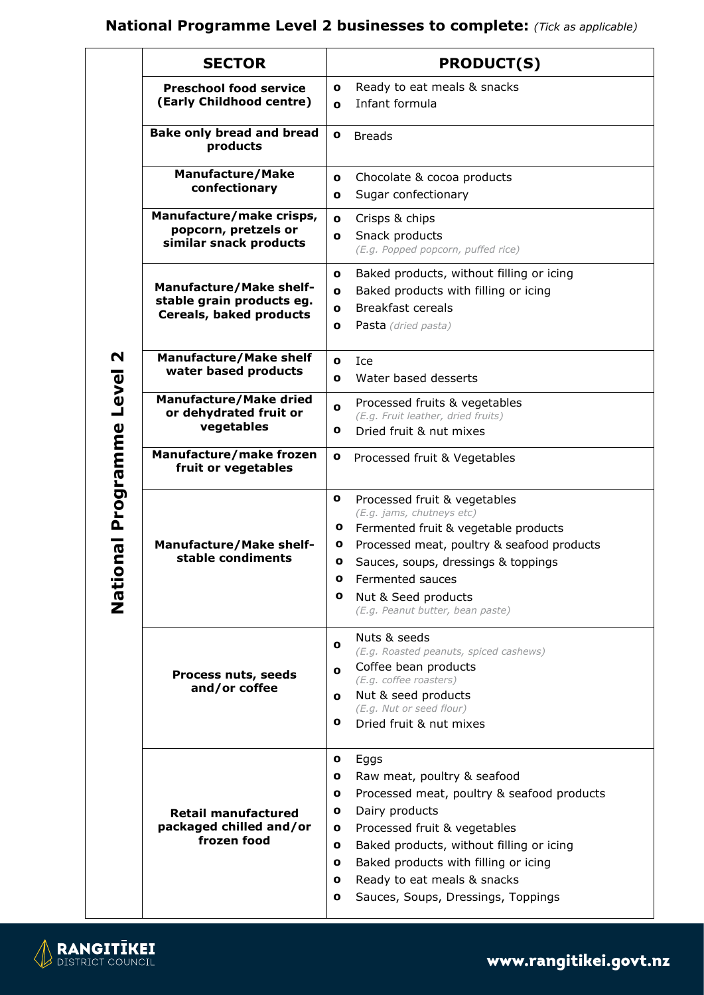### **National Programme Level 2 businesses to complete:** *(Tick as applicable)*

| <b>SECTOR</b>                                                                          | <b>PRODUCT(S)</b>                                                                                                                                                                                                                                                                                                                         |
|----------------------------------------------------------------------------------------|-------------------------------------------------------------------------------------------------------------------------------------------------------------------------------------------------------------------------------------------------------------------------------------------------------------------------------------------|
| <b>Preschool food service</b><br>(Early Childhood centre)                              | Ready to eat meals & snacks<br>o<br>Infant formula<br>$\mathbf o$                                                                                                                                                                                                                                                                         |
| <b>Bake only bread and bread</b><br>products                                           | $\mathbf o$<br><b>Breads</b>                                                                                                                                                                                                                                                                                                              |
| <b>Manufacture/Make</b><br>confectionary                                               | Chocolate & cocoa products<br>o<br>Sugar confectionary<br>ο                                                                                                                                                                                                                                                                               |
| Manufacture/make crisps,<br>popcorn, pretzels or<br>similar snack products             | Crisps & chips<br>$\mathbf o$<br>Snack products<br>o<br>(E.g. Popped popcorn, puffed rice)                                                                                                                                                                                                                                                |
| <b>Manufacture/Make shelf-</b><br>stable grain products eg.<br>Cereals, baked products | Baked products, without filling or icing<br>о<br>Baked products with filling or icing<br>o<br><b>Breakfast cereals</b><br>O<br>Pasta (dried pasta)<br>o                                                                                                                                                                                   |
| <b>Manufacture/Make shelf</b><br>water based products                                  | Ice<br>o<br>Water based desserts<br>o                                                                                                                                                                                                                                                                                                     |
| <b>Manufacture/Make dried</b><br>or dehydrated fruit or<br>vegetables                  | Processed fruits & vegetables<br>O<br>(E.g. Fruit leather, dried fruits)<br>Dried fruit & nut mixes<br>о                                                                                                                                                                                                                                  |
| Manufacture/make frozen<br>fruit or vegetables                                         | o<br>Processed fruit & Vegetables                                                                                                                                                                                                                                                                                                         |
| <b>Manufacture/Make shelf-</b><br>stable condiments                                    | o<br>Processed fruit & vegetables<br>(E.g. jams, chutneys etc)<br>Fermented fruit & vegetable products<br>o<br>Processed meat, poultry & seafood products<br>o<br>Sauces, soups, dressings & toppings<br>o<br>Fermented sauces<br>$\mathbf o$<br>Nut & Seed products<br>o<br>(E.g. Peanut butter, bean paste)                             |
| Process nuts, seeds<br>and/or coffee                                                   | Nuts & seeds<br>o<br>(E.g. Roasted peanuts, spiced cashews)<br>Coffee bean products<br>o<br>(E.g. coffee roasters)<br>Nut & seed products<br>o<br>(E.g. Nut or seed flour)<br>o<br>Dried fruit & nut mixes                                                                                                                                |
| <b>Retail manufactured</b><br>packaged chilled and/or<br>frozen food                   | Eggs<br>o<br>Raw meat, poultry & seafood<br>о<br>Processed meat, poultry & seafood products<br>o<br>Dairy products<br>o<br>Processed fruit & vegetables<br>o<br>Baked products, without filling or icing<br>ο<br>Baked products with filling or icing<br>o<br>Ready to eat meals & snacks<br>o<br>Sauces, Soups, Dressings, Toppings<br>о |